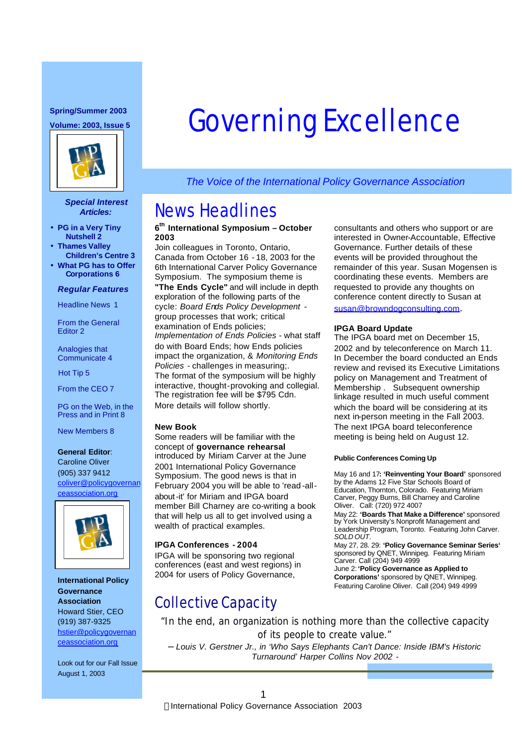#### **Spring/Summer 2003**



#### *Special Interest Articles:*

- **PG in a Very Tiny Nutshell 2**
- **Thames Valley Children's Centre 3**
- **What PG has to Offer Corporations 6**

#### *Regular Features*

Headline News 1

From the General Editor 2

Analogies that Communicate 4

Hot Tip 5

From the CEO 7

PG on the Web, in the Press and in Print 8

New Members 8

#### **General Editor**:

Caroline Oliver (905) 337 9412 coliver@policygovernan ceassociation.org



**International Policy Governance Association** Howard Stier, CEO (919) 387-9325 hstier@policygovernan ceassociation.org

Look out for our Fall Issue August 1, 2003

# **Spring/Summer 2003**<br>Volume: 2003, Issue 5 **GOVETNING EXCELLENCE**

*The Voice of the International Policy Governance Association*

## News Headlines

### **6 th International Symposium – October 2003**

Join colleagues in Toronto, Ontario, Canada from October 16 - 18, 2003 for the 6th International Carver Policy Governance Symposium. The symposium theme is

**"The Ends Cycle"** and will include in depth exploration of the following parts of the cycle: *Board Ends Policy Development* group processes that work; critical examination of Ends policies; *Implementation of Ends Policies* - what staff do with Board Ends; how Ends policies impact the organization, & *Monitoring Ends Policies* - challenges in measuring;. The format of the symposium will be highly interactive, thought-provoking and collegial. The registration fee will be \$795 Cdn. More details will follow shortly.

#### **New Book**

Some readers will be familiar with the concept of **governance rehearsal** introduced by Miriam Carver at the June 2001 International Policy Governance Symposium. The good news is that in February 2004 you will be able to 'read -allabout-it' for Miriam and IPGA board member Bill Charney are co-writing a book that will help us all to get involved using a wealth of practical examples.

#### **IPGA Conferences - 2004**

IPGA will be sponsoring two regional conferences (east and west regions) in 2004 for users of Policy Governance,

## Collective Capacity

consultants and others who support or are interested in Owner-Accountable, Effective Governance. Further details of these events will be provided throughout the remainder of this year. Susan Mogensen is coordinating these events. Members are requested to provide any thoughts on conference content directly to Susan at susan@browndogconsulting.com.

#### **IPGA Board Update**

The IPGA board met on December 15, 2002 and by teleconference on March 11. In December the board conducted an Ends review and revised its Executive Limitations policy on Management and Treatment of Membership . Subsequent ownership linkage resulted in much useful comment which the board will be considering at its next in-person meeting in the Fall 2003. The next IPGA board teleconference meeting is being held on August 12.

#### **Public Conferences Coming Up**

May 16 and 17**: 'Reinventing Your Board'** sponsored by the Adams 12 Five Star Schools Board of Education, Thornton, Colorado. Featuring Miriam Carver, Peggy Burns, Bill Charney and Caroline Oliver. Call: (720) 972 4007

May 22: **'Boards That Make a Difference'** sponsored by York University's Nonprofit Management and Leadership Program, Toronto. Featuring John Carver. *SOLD OUT.*

May 27, 28. 29: **'Policy Governance Seminar Series'**  sponsored by QNET, Winnipeg. Featuring Miriam Carver. Call (204) 949 4999

June 2: **'Policy Governance as Applied to Corporations'** sponsored by QNET, Winnipeg. Featuring Caroline Oliver. Call (204) 949 4999

"In the end, an organization is nothing more than the collective capacity of its people to create value."

– *Louis V. Gerstner Jr., in 'Who Says Elephants Can't Dance: Inside IBM's Historic Turnaround' Harper Collins Nov 2002 -*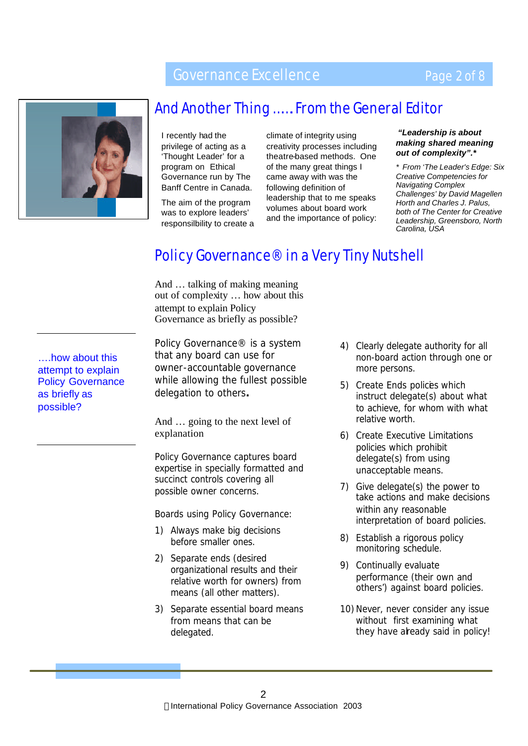## Governance Excellence

## Page 2 of 8



## And Another Thing ……. From the General Editor

I recently had the privilege of acting as a 'Thought Leader' for a program on Ethical Governance run by The Banff Centre in Canada.

The aim of the program was to explore leaders' responsilbility to create a climate of integrity using creativity processes including theatre-based methods. One of the many great things I came away with was the following definition of leadership that to me speaks volumes about board work and the importance of policy:

### *"Leadership is about making shared meaning out of complexity".\**

*\* From 'The Leader's Edge: Six Creative Competencies for Navigating Complex Challenges' by David Magellen Horth and Charles J. Palus, both of The Center for Creative Leadership, Greensboro, North Carolina, USA*

## Policy Governance® in a Very Tiny Nutshell

And … talking of making meaning out of complexity … how about this attempt to explain Policy Governance as briefly as possible?

*Policy Governance® is a system that any board can use for owner-accountable governance while allowing the fullest possible delegation to others***.**

And … going to the next level of explanation

*Policy Governance captures board expertise in specially formatted and succinct controls covering all possible owner concerns.*

*Boards using Policy Governance:*

- *1) Always make big decisions before smaller ones.*
- *2) Separate ends (desired organizational results and their relative worth for owners) from means (all other matters).*
- *3) Separate essential board means from means that can be delegated.*
- *4) Clearly delegate authority for all non-board action through one or more persons.*
- *5) Create Ends policies which instruct delegate(s) about what to achieve, for whom with what relative worth.*
- *6) Create Executive Limitations policies which prohibit delegate(s) from using unacceptable means.*
- *7) Give delegate(s) the power to take actions and make decisions within any reasonable interpretation of board policies.*
- *8) Establish a rigorous policy monitoring schedule.*
- *9) Continually evaluate performance (their own and others') against board policies.*
- 10) Never, never consider any issue *without first examining what they have already said in policy!*

….how about this attempt to explain Policy Governance as briefly as possible?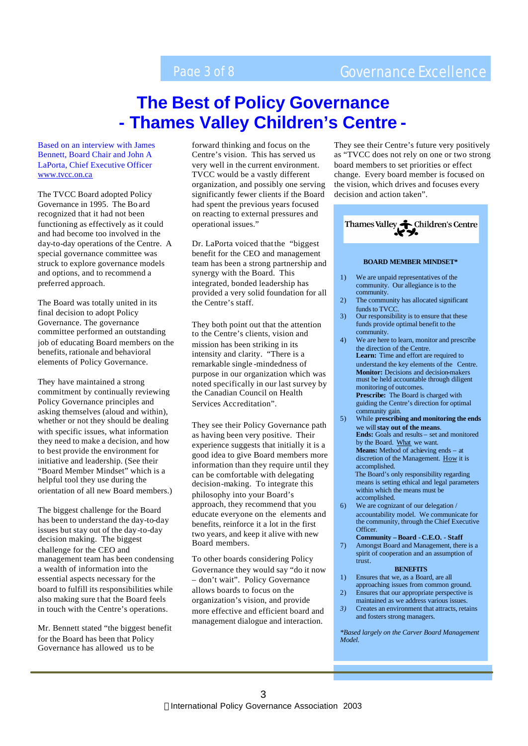## Page 3 of 8 Governance Excellence

## **The Best of Policy Governance - Thames Valley Children's Centre -**

Based on an interview with James Bennett, Board Chair and John A LaPorta, Chief Executive Officer www.tvcc.on.ca

The TVCC Board adopted Policy Governance in 1995. The Bo ard recognized that it had not been functioning as effectively as it could and had become too involved in the day-to-day operations of the Centre. A special governance committee was struck to explore governance models and options, and to recommend a preferred approach.

The Board was totally united in its final decision to adopt Policy Governance. The governance committee performed an outstanding job of educating Board members on the benefits, rationale and behavioral elements of Policy Governance.

They have maintained a strong commitment by continually reviewing Policy Governance principles and asking themselves (aloud and within), whether or not they should be dealing with specific issues, what information they need to make a decision, and how to best provide the environment for initiative and leadership. (See their "Board Member Mindset" which is a helpful tool they use during the orientation of all new Board members.)

The biggest challenge for the Board has been to understand the day-to-day issues but stay out of the day-to-day decision making. The biggest challenge for the CEO and management team has been condensing a wealth of information into the essential aspects necessary for the board to fulfill its responsibilities while also making sure that the Board feels in touch with the Centre's operations.

Mr. Bennett stated "the biggest benefit for the Board has been that Policy Governance has allowed us to be

forward thinking and focus on the Centre's vision. This has served us very well in the current environment. TVCC would be a vastly different organization, and possibly one serving significantly fewer clients if the Board had spent the previous years focused on reacting to external pressures and operational issues."

Dr. LaPorta voiced that the "biggest benefit for the CEO and management team has been a strong partnership and synergy with the Board. This integrated, bonded leadership has provided a very solid foundation for all the Centre's staff.

They both point out that the attention to the Centre's clients, vision and mission has been striking in its intensity and clarity. "There is a remarkable single -mindedness of purpose in our organization which was noted specifically in our last survey by the Canadian Council on Health Services Accreditation".

They see their Policy Governance path as having been very positive. Their experience suggests that initially it is a good idea to give Board members more information than they require until they can be comfortable with delegating decision-making. To integrate this philosophy into your Board's approach, they recommend that you educate everyone on the elements and benefits, reinforce it a lot in the first two years, and keep it alive with new Board members.

To other boards considering Policy Governance they would say "do it now – don't wait". Policy Governance allows boards to focus on the organization's vision, and provide more effective and efficient board and management dialogue and interaction.

They see their Centre's future very positively as "TVCC does not rely on one or two strong board members to set priorities or effect change. Every board member is focused on the vision, which drives and focuses every decision and action taken".

| Thames Valley Children's Centre |                                                                                                                                                                                                                                                                                                                                                                                 |
|---------------------------------|---------------------------------------------------------------------------------------------------------------------------------------------------------------------------------------------------------------------------------------------------------------------------------------------------------------------------------------------------------------------------------|
|                                 | <b>BOARD MEMBER MINDSET*</b>                                                                                                                                                                                                                                                                                                                                                    |
| 1)                              | We are unpaid representatives of the<br>community. Our allegiance is to the                                                                                                                                                                                                                                                                                                     |
| 2)                              | community.<br>The community has allocated significant                                                                                                                                                                                                                                                                                                                           |
| 3)                              | funds to TVCC.<br>Our responsibility is to ensure that these<br>funds provide optimal benefit to the                                                                                                                                                                                                                                                                            |
| 4)                              | community.<br>We are here to learn, monitor and prescribe<br>the direction of the Centre.                                                                                                                                                                                                                                                                                       |
| 5)                              | Learn: Time and effort are required to<br>understand the key elements of the Centre.<br><b>Monitor:</b> Decisions and decision-makers<br>must be held accountable through diligent<br>monitoring of outcomes.<br><b>Prescribe:</b> The Board is charged with<br>guiding the Centre's direction for optimal<br>community gain.<br>While prescribing and monitoring the ends      |
|                                 | we will stay out of the means.<br><b>Ends:</b> Goals and results – set and monitored<br>by the Board. What we want.<br><b>Means:</b> Method of achieving ends – at<br>discretion of the Management. How it is<br>accomplished.<br>The Board's only responsibility regarding<br>means is setting ethical and legal parameters<br>within which the means must be<br>accomplished. |
| 6)                              | We are cognizant of our delegation /<br>accountability model. We communicate for<br>the community, through the Chief Executive<br>Officer.<br>Community - Board - C.E.O. - Staff                                                                                                                                                                                                |
| 7)                              | Amongst Board and Management, there is a<br>spirit of cooperation and an assumption of<br>trust.                                                                                                                                                                                                                                                                                |
|                                 | <b>BENEFITS</b>                                                                                                                                                                                                                                                                                                                                                                 |
| 1)                              | Ensures that we, as a Board, are all<br>approaching issues from common ground.                                                                                                                                                                                                                                                                                                  |
| 2)<br>3)                        | Ensures that our appropriate perspective is<br>maintained as we address various issues.<br>Creates an environment that attracts, retains                                                                                                                                                                                                                                        |
|                                 | and fosters strong managers.<br>*Based largely on the Carver Board Management                                                                                                                                                                                                                                                                                                   |
| Model.                          |                                                                                                                                                                                                                                                                                                                                                                                 |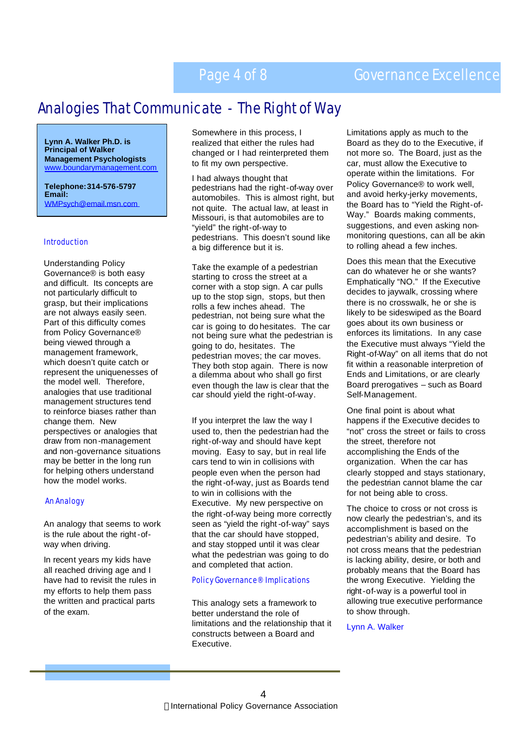## Page 4 of 8 Governance Excellence

## Analogies That Communicate - The Right of Way

**Lynn A. Walker Ph.D. is Principal of Walker Management Psychologists** bundarymanagement.com

**Telephone: 314-576-5797 Email:** WMPsych@email.msn.com

#### Introduction

Understanding Policy Governance® is both easy and difficult. Its concepts are not particularly difficult to grasp, but their implications are not always easily seen. Part of this difficulty comes from Policy Governance® being viewed through a management framework, which doesn't quite catch or represent the uniquenesses of the model well. Therefore, analogies that use traditional management structures tend to reinforce biases rather than change them. New perspectives or analogies that draw from non -management and non-governance situations may be better in the long run for helping others understand how the model works.

#### An Analogy

An analogy that seems to work is the rule about the right-ofway when driving.

In recent years my kids have all reached driving age and I have had to revisit the rules in my efforts to help them pass the written and practical parts of the exam.

Somewhere in this process, I realized that either the rules had changed or I had reinterpreted them to fit my own perspective.

I had always thought that pedestrians had the right-of-way over automobiles. This is almost right, but not quite. The actual law, at least in Missouri, is that automobiles are to "yield" the right-of-way to pedestrians. This doesn't sound like a big difference but it is.

Take the example of a pedestrian starting to cross the street at a corner with a stop sign. A car pulls up to the stop sign, stops, but then rolls a few inches ahead. The pedestrian, not being sure what the car is going to do hesitates. The car not being sure what the pedestrian is going to do, hesitates. The pedestrian moves; the car moves. They both stop again. There is now a dilemma about who shall go first even though the law is clear that the car should yield the right-of-way.

If you interpret the law the way I used to, then the pedestrian had the right-of-way and should have kept moving. Easy to say, but in real life cars tend to win in collisions with people even when the person had the right-of-way, just as Boards tend to win in collisions with the Executive. My new perspective on the right-of-way being more correctly seen as "yield the right-of-way" says that the car should have stopped, and stay stopped until it was clear what the pedestrian was going to do and completed that action.

#### Policy Governance® Implications

This analogy sets a framework to better understand the role of limitations and the relationship that it constructs between a Board and Executive.

Limitations apply as much to the Board as they do to the Executive, if not more so. The Board, just as the car, must allow the Executive to operate within the limitations. For Policy Governance® to work well, and avoid herky-jerky movements, the Board has to "Yield the Right-of-Way." Boards making comments, suggestions, and even asking nonmonitoring questions, can all be akin to rolling ahead a few inches.

Does this mean that the Executive can do whatever he or she wants? Emphatically "NO." If the Executive decides to jaywalk, crossing where there is no crosswalk, he or she is likely to be sideswiped as the Board goes about its own business or enforces its limitations. In any case the Executive must always "Yield the Right-of-Way" on all items that do not fit within a reasonable interpretion of Ends and Limitations, or are clearly Board prerogatives – such as Board Self-Management.

One final point is about what happens if the Executive decides to "not" cross the street or fails to cross the street, therefore not accomplishing the Ends of the organization. When the car has clearly stopped and stays stationary, the pedestrian cannot blame the car for not being able to cross.

The choice to cross or not cross is now clearly the pedestrian's, and its accomplishment is based on the pedestrian's ability and desire. To not cross means that the pedestrian is lacking ability, desire, or both and probably means that the Board has the wrong Executive. Yielding the right-of-way is a powerful tool in allowing true executive performance to show through.

Lynn A. Walker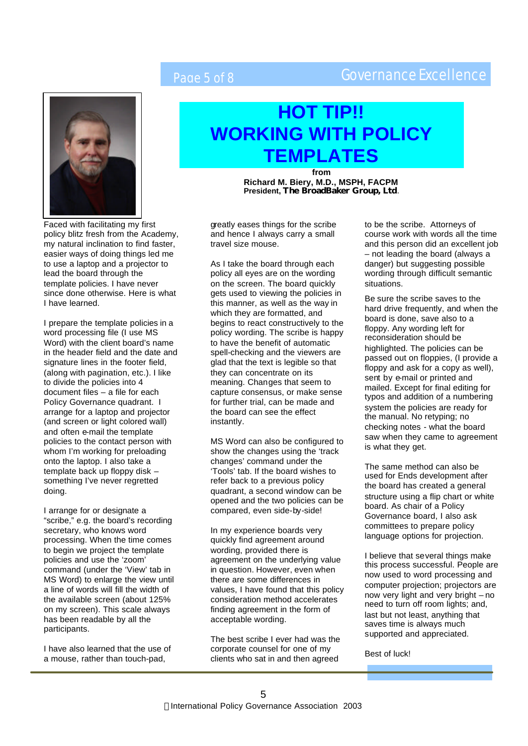## Page 5 of 8 Governance Excellence



## **HOT TIP!! WORKING WITH POLICY TEMPLATES**

**from Richard M. Biery, M.D., MSPH, FACPM President, The BroadBaker Group, Ltd**.

Faced with facilitating my first policy blitz fresh from the Academy, my natural inclination to find faster, easier ways of doing things led me to use a laptop and a projector to lead the board through the template policies. I have never since done otherwise. Here is what I have learned.

I prepare the template policies in a word processing file (I use MS Word) with the client board's name in the header field and the date and signature lines in the footer field, (along with pagination, etc.). I like to divide the policies into 4 document files – a file for each Policy Governance quadrant. I arrange for a laptop and projector (and screen or light colored wall) and often e-mail the template policies to the contact person with whom I'm working for preloading onto the laptop. I also take a template back up floppy disk – something I've never regretted doing.

I arrange for or designate a "scribe," e.g. the board's recording secretary, who knows word processing. When the time comes to begin we project the template policies and use the 'zoom' command (under the 'View' tab in MS Word) to enlarge the view until a line of words will fill the width of the available screen (about 125% on my screen). This scale always has been readable by all the participants.

I have also learned that the use of a mouse, rather than touch-pad,

greatly eases things for the scribe and hence I always carry a small travel size mouse.

As I take the board through each policy all eyes are on the wording on the screen. The board quickly gets used to viewing the policies in this manner, as well as the way in which they are formatted, and begins to react constructively to the policy wording. The scribe is happy to have the benefit of automatic spell-checking and the viewers are glad that the text is legible so that they can concentrate on its meaning. Changes that seem to capture consensus, or make sense for further trial, can be made and the board can see the effect instantly.

MS Word can also be configured to show the changes using the 'track changes' command under the 'Tools' tab. If the board wishes to refer back to a previous policy quadrant, a second window can be opened and the two policies can be compared, even side-by-side!

In my experience boards very quickly find agreement around wording, provided there is agreement on the underlying value in question. However, even when there are some differences in values, I have found that this policy consideration method accelerates finding agreement in the form of acceptable wording.

The best scribe I ever had was the corporate counsel for one of my clients who sat in and then agreed

to be the scribe. Attorneys of course work with words all the time and this person did an excellent job – not leading the board (always a danger) but suggesting possible wording through difficult semantic situations.

Be sure the scribe saves to the hard drive frequently, and when the board is done, save also to a floppy. Any wording left for reconsideration should be highlighted. The policies can be passed out on floppies, (I provide a floppy and ask for a copy as well), sent by e-mail or printed and mailed. Except for final editing for typos and addition of a numbering system the policies are ready for the manual. No retyping; no checking notes - what the board saw when they came to agreement is what they get.

The same method can also be used for Ends development after the board has created a general structure using a flip chart or white board. As chair of a Policy Governance board, I also ask committees to prepare policy language options for projection.

I believe that several things make this process successful. People are now used to word processing and computer projection; projectors are now very light and very bright – no need to turn off room lights; and, last but not least, anything that saves time is always much supported and appreciated.

Best of luck!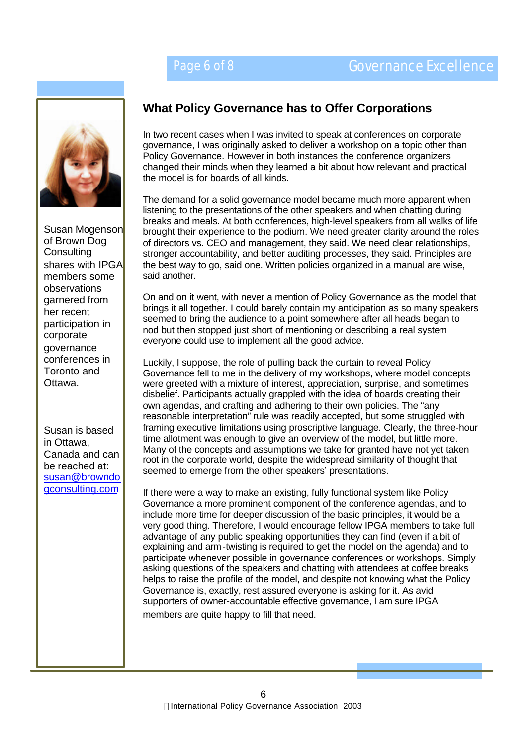

Susan Mogenson of Brown Dog **Consulting** shares with IPGA members some observations garnered from her recent participation in corporate governance conferences in Toronto and Ottawa.

Susan is based in Ottawa, Canada and can be reached at: susan@browndo gconsulting.com

## **What Policy Governance has to Offer Corporations**

In two recent cases when I was invited to speak at conferences on corporate governance, I was originally asked to deliver a workshop on a topic other than Policy Governance. However in both instances the conference organizers changed their minds when they learned a bit about how relevant and practical the model is for boards of all kinds.

The demand for a solid governance model became much more apparent when listening to the presentations of the other speakers and when chatting during breaks and meals. At both conferences, high-level speakers from all walks of life brought their experience to the podium. We need greater clarity around the roles of directors vs. CEO and management, they said. We need clear relationships, stronger accountability, and better auditing processes, they said. Principles are the best way to go, said one. Written policies organized in a manual are wise, said another.

On and on it went, with never a mention of Policy Governance as the model that brings it all together. I could barely contain my anticipation as so many speakers seemed to bring the audience to a point somewhere after all heads began to nod but then stopped just short of mentioning or describing a real system everyone could use to implement all the good advice.

Luckily, I suppose, the role of pulling back the curtain to reveal Policy Governance fell to me in the delivery of my workshops, where model concepts were greeted with a mixture of interest, appreciation, surprise, and sometimes disbelief. Participants actually grappled with the idea of boards creating their own agendas, and crafting and adhering to their own policies. The "any reasonable interpretation" rule was readily accepted, but some struggled with framing executive limitations using proscriptive language. Clearly, the three-hour time allotment was enough to give an overview of the model, but little more. Many of the concepts and assumptions we take for granted have not yet taken root in the corporate world, despite the widespread similarity of thought that seemed to emerge from the other speakers' presentations.

If there were a way to make an existing, fully functional system like Policy Governance a more prominent component of the conference agendas, and to include more time for deeper discussion of the basic principles, it would be a very good thing. Therefore, I would encourage fellow IPGA members to take full advantage of any public speaking opportunities they can find (even if a bit of explaining and arm-twisting is required to get the model on the agenda) and to participate whenever possible in governance conferences or workshops. Simply asking questions of the speakers and chatting with attendees at coffee breaks helps to raise the profile of the model, and despite not knowing what the Policy Governance is, exactly, rest assured everyone is asking for it. As avid supporters of owner-accountable effective governance, I am sure IPGA members are quite happy to fill that need.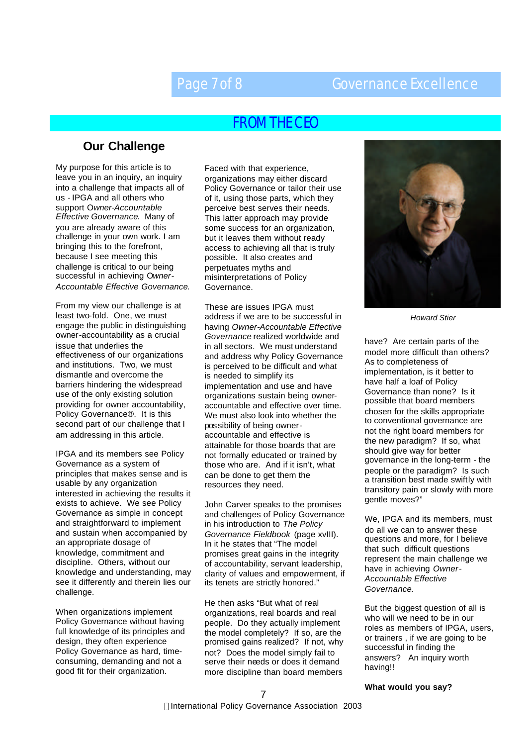## Page 7 of 8 Governance Excellence

## FROM THE CEO

### **Our Challenge**

My purpose for this article is to leave you in an inquiry, an inquiry into a challenge that impacts all of us - IPGA and all others who support O*wner-Accountable Effective Governance*. Many of you are already aware of this challenge in your own work. I am bringing this to the forefront, because I see meeting this challenge is critical to our being successful in achieving O*wner-Accountable Effective Governance*.

From my view our challenge is at least two-fold. One, we must engage the public in distinguishing owner-accountability as a crucial issue that underlies the effectiveness of our organizations and institutions. Two, we must dismantle and overcome the barriers hindering the widespread use of the only existing solution providing for owner accountability, Policy Governance®. It is this second part of our challenge that I am addressing in this article.

IPGA and its members see Policy Governance as a system of principles that makes sense and is usable by any organization interested in achieving the results it exists to achieve. We see Policy Governance as simple in concept and straightforward to implement and sustain when accompanied by an appropriate dosage of knowledge, commitment and discipline. Others, without our knowledge and understanding, may see it differently and therein lies our challenge.

When organizations implement Policy Governance without having full knowledge of its principles and design, they often experience Policy Governance as hard, timeconsuming, demanding and not a good fit for their organization.

Faced with that experience, organizations may either discard Policy Governance or tailor their use of it, using those parts, which they perceive best serves their needs. This latter approach may provide some success for an organization, but it leaves them without ready access to achieving all that is truly possible. It also creates and perpetuates myths and misinterpretations of Policy Governance.

These are issues IPGA must address if we are to be successful in having *Owner-Accountable Effective Governance* realized worldwide and in all sectors. We must understand and address why Policy Governance is perceived to be difficult and what is needed to simplify its implementation and use and have organizations sustain being owneraccountable and effective over time. We must also look into whether the possibility of being owneraccountable and effective is attainable for those boards that are not formally educated or trained by those who are. And if it isn't, what can be done to get them the resources they need.

John Carver speaks to the promises and challenges of Policy Governance in his introduction to *The Policy Governance Fieldbook* (page xvIII). In it he states that "The model promises great gains in the integrity of accountability, servant leadership, clarity of values and empowerment, if its tenets are strictly honored."

He then asks "But what of real organizations, real boards and real people. Do they actually implement the model completely? If so, are the promised gains realized? If not, why not? Does the model simply fail to serve their needs or does it demand more discipline than board members



*Howard Stier*

have? Are certain parts of the model more difficult than others? As to completeness of implementation, is it better to have half a loaf of Policy Governance than none? Is it possible that board members chosen for the skills appropriate to conventional governance are not the right board members for the new paradigm? If so, what should give way for better governance in the long-term - the people or the paradigm? Is such a transition best made swiftly with transitory pain or slowly with more gentle moves?"

We, IPGA and its members, must do all we can to answer these questions and more, for I believe that such difficult questions represent the main challenge we have in achieving *Owner-Accountable Effective Governance*.

But the biggest question of all is who will we need to be in our roles as members of IPGA, users, or trainers , if we are going to be successful in finding the answers? An inquiry worth having!!

#### **What would you say?**